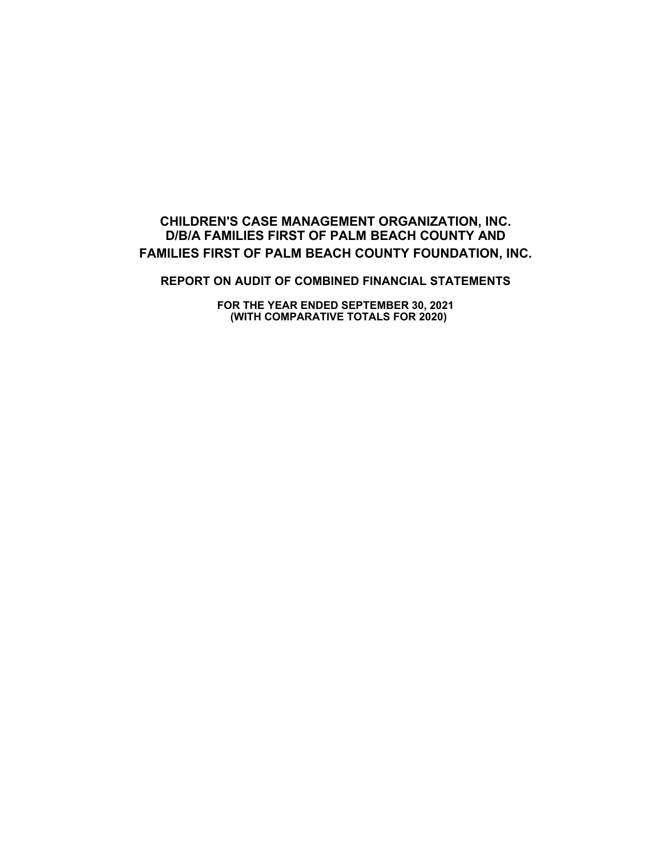**REPORT ON AUDIT OF COMBINED FINANCIAL STATEMENTS** 

**FOR THE YEAR ENDED SEPTEMBER 30, 2021 (WITH COMPARATIVE TOTALS FOR 2020)**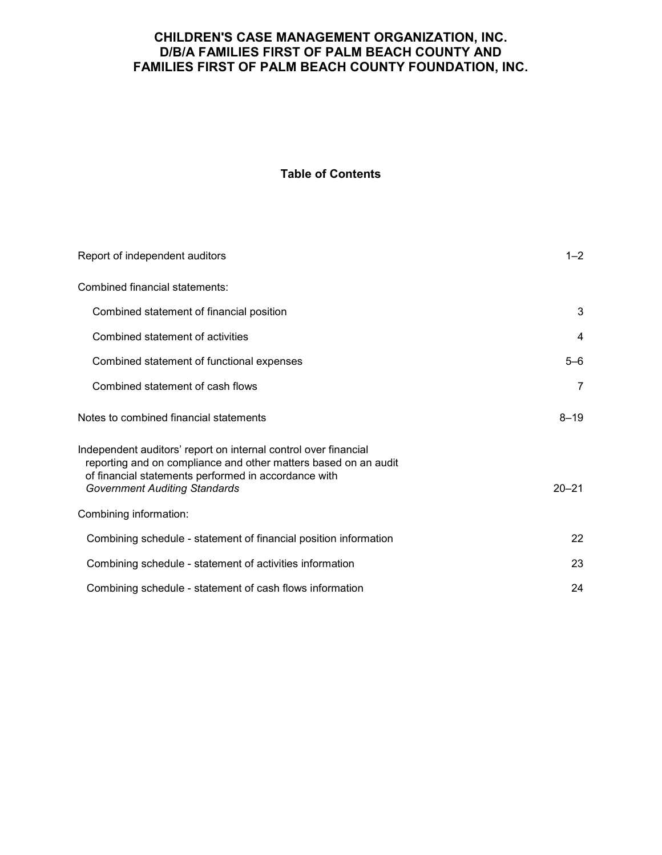## **Table of Contents**

| Report of independent auditors                                                                                                                                                                                                     | $1 - 2$        |
|------------------------------------------------------------------------------------------------------------------------------------------------------------------------------------------------------------------------------------|----------------|
| Combined financial statements:                                                                                                                                                                                                     |                |
| Combined statement of financial position                                                                                                                                                                                           | 3              |
| Combined statement of activities                                                                                                                                                                                                   | 4              |
| Combined statement of functional expenses                                                                                                                                                                                          | $5 - 6$        |
| Combined statement of cash flows                                                                                                                                                                                                   | $\overline{7}$ |
| Notes to combined financial statements                                                                                                                                                                                             | $8 - 19$       |
| Independent auditors' report on internal control over financial<br>reporting and on compliance and other matters based on an audit<br>of financial statements performed in accordance with<br><b>Government Auditing Standards</b> | $20 - 21$      |
| Combining information:                                                                                                                                                                                                             |                |
| Combining schedule - statement of financial position information                                                                                                                                                                   | 22             |
| Combining schedule - statement of activities information                                                                                                                                                                           | 23             |
| Combining schedule - statement of cash flows information                                                                                                                                                                           | 24             |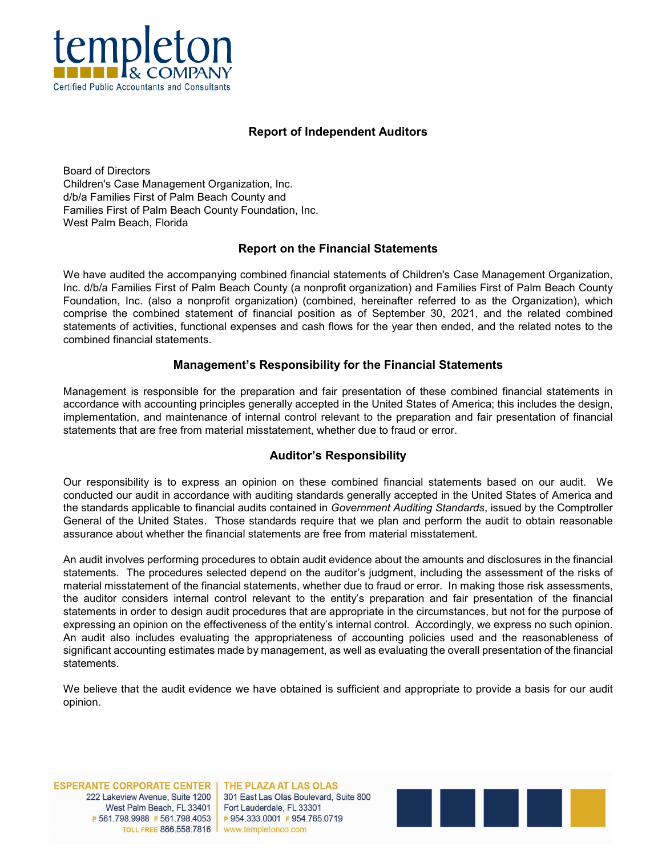

## **Report of Independent Auditors**

Board of Directors Children's Case Management Organization, Inc. d/b/a Families First of Palm Beach County and Families First of Palm Beach County Foundation, Inc. West Palm Beach, Florida

## **Report on the Financial Statements**

We have audited the accompanying combined financial statements of Children's Case Management Organization, Inc. d/b/a Families First of Palm Beach County (a nonprofit organization) and Families First of Palm Beach County Foundation, Inc. (also a nonprofit organization) (combined, hereinafter referred to as the Organization), which comprise the combined statement of financial position as of September 30, 2021, and the related combined statements of activities, functional expenses and cash flows for the year then ended, and the related notes to the combined financial statements.

## **Management's Responsibility for the Financial Statements**

Management is responsible for the preparation and fair presentation of these combined financial statements in accordance with accounting principles generally accepted in the United States of America; this includes the design, implementation, and maintenance of internal control relevant to the preparation and fair presentation of financial statements that are free from material misstatement, whether due to fraud or error.

### **Auditor's Responsibility**

Our responsibility is to express an opinion on these combined financial statements based on our audit. We conducted our audit in accordance with auditing standards generally accepted in the United States of America and the standards applicable to financial audits contained in *Government Auditing Standards*, issued by the Comptroller General of the United States. Those standards require that we plan and perform the audit to obtain reasonable assurance about whether the financial statements are free from material misstatement.

An audit involves performing procedures to obtain audit evidence about the amounts and disclosures in the financial statements. The procedures selected depend on the auditor's judgment, including the assessment of the risks of material misstatement of the financial statements, whether due to fraud or error. In making those risk assessments, the auditor considers internal control relevant to the entity's preparation and fair presentation of the financial statements in order to design audit procedures that are appropriate in the circumstances, but not for the purpose of expressing an opinion on the effectiveness of the entity's internal control. Accordingly, we express no such opinion. An audit also includes evaluating the appropriateness of accounting policies used and the reasonableness of significant accounting estimates made by management, as well as evaluating the overall presentation of the financial statements.

We believe that the audit evidence we have obtained is sufficient and appropriate to provide a basis for our audit opinion.

**ESPERANTE CORPORATE CENTER | THE PLAZA AT LAS OLAS** West Palm Beach, FL 33401 Fort Lauderdale, FL 33301 P 561.798.9988 F 561.798.4053 P 954.333.0001 F 954.765.0719 TOLL FREE 866.558.7816 | www.templetonco.com

222 Lakeview Avenue, Suite 1200 301 East Las Olas Boulevard, Suite 800

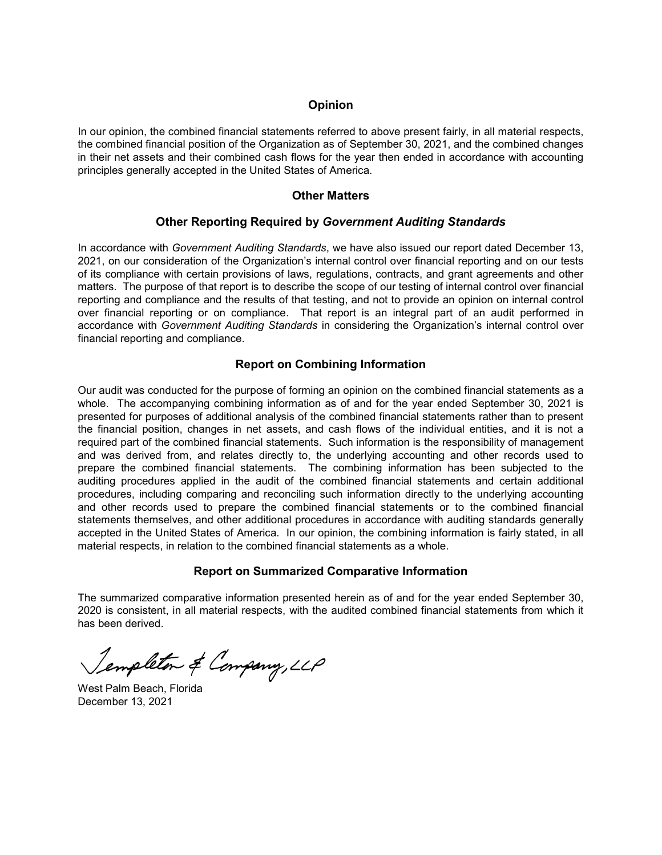### **Opinion**

In our opinion, the combined financial statements referred to above present fairly, in all material respects, the combined financial position of the Organization as of September 30, 2021, and the combined changes in their net assets and their combined cash flows for the year then ended in accordance with accounting principles generally accepted in the United States of America.

#### **Other Matters**

### **Other Reporting Required by** *Government Auditing Standards*

In accordance with *Government Auditing Standards*, we have also issued our report dated December 13, 2021, on our consideration of the Organization's internal control over financial reporting and on our tests of its compliance with certain provisions of laws, regulations, contracts, and grant agreements and other matters. The purpose of that report is to describe the scope of our testing of internal control over financial reporting and compliance and the results of that testing, and not to provide an opinion on internal control over financial reporting or on compliance. That report is an integral part of an audit performed in accordance with *Government Auditing Standards* in considering the Organization's internal control over financial reporting and compliance.

### **Report on Combining Information**

Our audit was conducted for the purpose of forming an opinion on the combined financial statements as a whole. The accompanying combining information as of and for the year ended September 30, 2021 is presented for purposes of additional analysis of the combined financial statements rather than to present the financial position, changes in net assets, and cash flows of the individual entities, and it is not a required part of the combined financial statements. Such information is the responsibility of management and was derived from, and relates directly to, the underlying accounting and other records used to prepare the combined financial statements. The combining information has been subjected to the auditing procedures applied in the audit of the combined financial statements and certain additional procedures, including comparing and reconciling such information directly to the underlying accounting and other records used to prepare the combined financial statements or to the combined financial statements themselves, and other additional procedures in accordance with auditing standards generally accepted in the United States of America. In our opinion, the combining information is fairly stated, in all material respects, in relation to the combined financial statements as a whole.

### **Report on Summarized Comparative Information**

The summarized comparative information presented herein as of and for the year ended September 30, 2020 is consistent, in all material respects, with the audited combined financial statements from which it has been derived.

Sempleton & Company, LLP

West Palm Beach, Florida December 13, 2021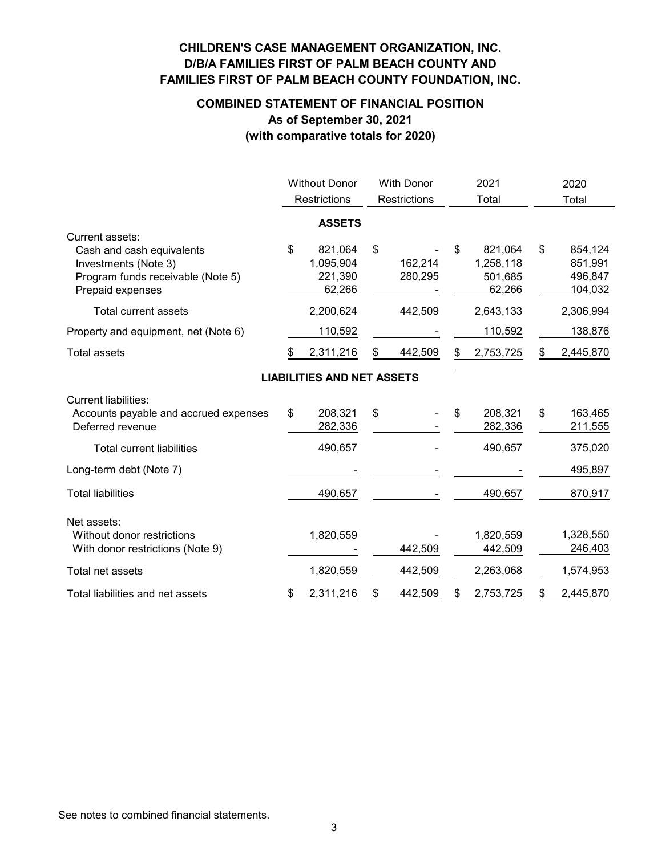## **(with comparative totals for 2020) COMBINED STATEMENT OF FINANCIAL POSITION As of September 30, 2021**

|                                                                                                                               | <b>Without Donor</b> |                                           | <b>With Donor</b> |                    |       | 2021                                      | 2020 |                                          |  |
|-------------------------------------------------------------------------------------------------------------------------------|----------------------|-------------------------------------------|-------------------|--------------------|-------|-------------------------------------------|------|------------------------------------------|--|
|                                                                                                                               |                      | Restrictions                              | Restrictions      |                    | Total |                                           |      | Total                                    |  |
|                                                                                                                               |                      | <b>ASSETS</b>                             |                   |                    |       |                                           |      |                                          |  |
| Current assets:<br>Cash and cash equivalents<br>Investments (Note 3)<br>Program funds receivable (Note 5)<br>Prepaid expenses | \$                   | 821,064<br>1,095,904<br>221,390<br>62,266 | \$                | 162,214<br>280,295 | \$    | 821,064<br>1,258,118<br>501,685<br>62,266 | \$   | 854,124<br>851,991<br>496,847<br>104,032 |  |
| <b>Total current assets</b>                                                                                                   |                      | 2,200,624                                 |                   | 442,509            |       | 2,643,133                                 |      | 2,306,994                                |  |
| Property and equipment, net (Note 6)                                                                                          |                      | 110,592                                   |                   |                    |       | 110,592                                   |      | 138,876                                  |  |
| <b>Total assets</b>                                                                                                           |                      | 2,311,216                                 | \$                | 442,509            | \$    | 2,753,725                                 | S    | 2,445,870                                |  |
| <b>LIABILITIES AND NET ASSETS</b>                                                                                             |                      |                                           |                   |                    |       |                                           |      |                                          |  |
| <b>Current liabilities:</b><br>Accounts payable and accrued expenses<br>Deferred revenue                                      | \$                   | 208,321<br>282,336                        | \$                |                    | \$    | 208,321<br>282,336                        | \$   | 163,465<br>211,555                       |  |
| <b>Total current liabilities</b>                                                                                              |                      | 490,657                                   |                   |                    |       | 490,657                                   |      | 375,020                                  |  |
| Long-term debt (Note 7)                                                                                                       |                      |                                           |                   |                    |       |                                           |      | 495,897                                  |  |
| <b>Total liabilities</b>                                                                                                      |                      | 490,657                                   |                   |                    |       | 490,657                                   |      | 870,917                                  |  |
| Net assets:<br>Without donor restrictions<br>With donor restrictions (Note 9)                                                 |                      | 1,820,559                                 |                   | 442,509            |       | 1,820,559<br>442,509                      |      | 1,328,550<br>246,403                     |  |
| Total net assets                                                                                                              |                      | 1,820,559                                 |                   | 442,509            |       | 2,263,068                                 |      | 1,574,953                                |  |
| Total liabilities and net assets                                                                                              | \$                   | 2,311,216                                 | \$                | 442,509            | \$    | 2,753,725                                 | \$   | 2,445,870                                |  |

See notes to combined financial statements.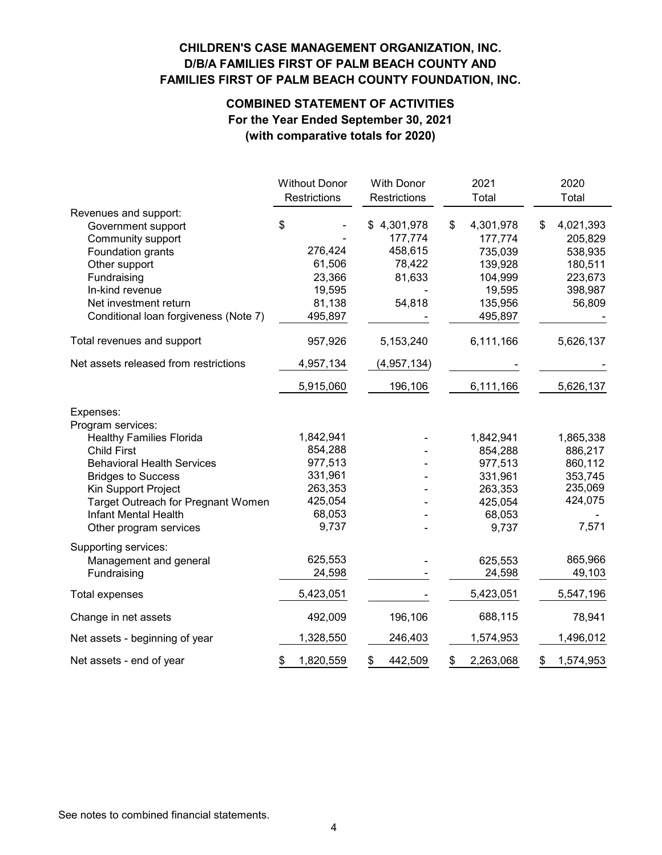## **(with comparative totals for 2020) COMBINED STATEMENT OF ACTIVITIES For the Year Ended September 30, 2021**

|                                       | <b>Without Donor</b><br>Restrictions | <b>With Donor</b><br><b>Restrictions</b> | 2021<br>Total   | 2020<br>Total   |
|---------------------------------------|--------------------------------------|------------------------------------------|-----------------|-----------------|
| Revenues and support:                 |                                      |                                          |                 |                 |
| Government support                    | \$                                   | 4,301,978<br>\$                          | \$<br>4,301,978 | \$<br>4,021,393 |
| Community support                     |                                      | 177,774                                  | 177,774         | 205,829         |
| Foundation grants                     | 276,424                              | 458,615                                  | 735,039         | 538,935         |
| Other support                         | 61,506                               | 78,422                                   | 139,928         | 180,511         |
| Fundraising                           | 23,366                               | 81,633                                   | 104,999         | 223,673         |
| In-kind revenue                       | 19,595                               |                                          | 19,595          | 398,987         |
| Net investment return                 | 81,138                               | 54,818                                   | 135,956         | 56,809          |
| Conditional loan forgiveness (Note 7) | 495,897                              |                                          | 495,897         |                 |
| Total revenues and support            | 957,926                              | 5,153,240                                | 6,111,166       | 5,626,137       |
| Net assets released from restrictions | 4,957,134                            | (4, 957, 134)                            |                 |                 |
|                                       | 5,915,060                            | 196,106                                  | 6,111,166       | 5,626,137       |
| Expenses:                             |                                      |                                          |                 |                 |
| Program services:                     |                                      |                                          |                 |                 |
| <b>Healthy Families Florida</b>       | 1,842,941                            |                                          | 1,842,941       | 1,865,338       |
| <b>Child First</b>                    | 854,288                              |                                          | 854,288         | 886,217         |
| <b>Behavioral Health Services</b>     | 977,513                              |                                          | 977,513         | 860,112         |
| <b>Bridges to Success</b>             | 331,961                              |                                          | 331,961         | 353,745         |
| Kin Support Project                   | 263,353                              |                                          | 263,353         | 235,069         |
| Target Outreach for Pregnant Women    | 425,054                              |                                          | 425,054         | 424,075         |
| <b>Infant Mental Health</b>           | 68,053                               |                                          | 68,053          |                 |
| Other program services                | 9,737                                |                                          | 9,737           | 7,571           |
| Supporting services:                  |                                      |                                          |                 |                 |
| Management and general                | 625,553                              |                                          | 625,553         | 865,966         |
| Fundraising                           | 24,598                               |                                          | 24,598          | 49,103          |
| <b>Total expenses</b>                 | 5,423,051                            |                                          | 5,423,051       | 5,547,196       |
| Change in net assets                  | 492,009                              | 196,106                                  | 688,115         | 78,941          |
| Net assets - beginning of year        | 1,328,550                            | 246,403                                  | 1,574,953       | 1,496,012       |
| Net assets - end of year              | \$<br>1,820,559                      | \$<br>442,509                            | \$<br>2,263,068 | \$<br>1,574,953 |

See notes to combined financial statements.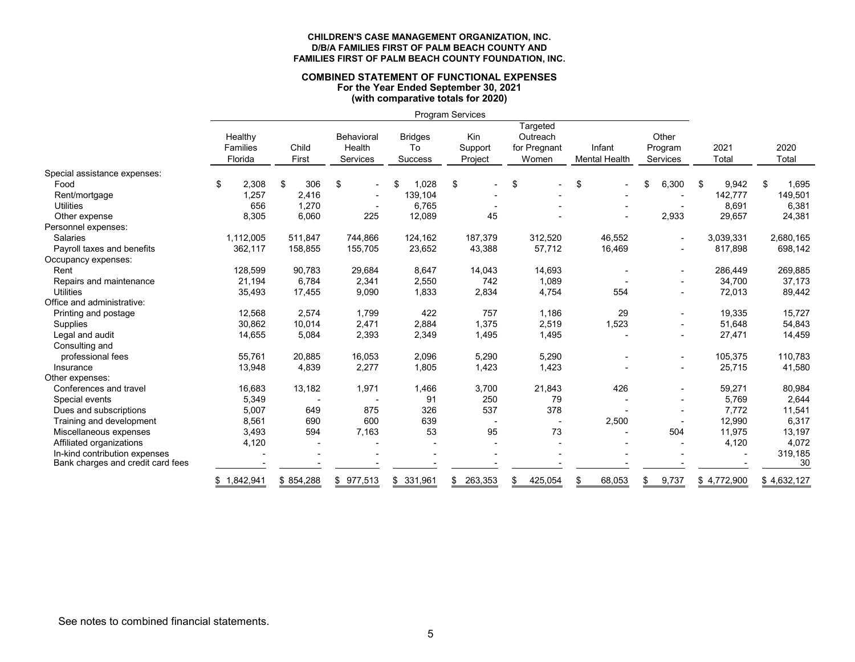#### **FAMILIES FIRST OF PALM BEACH COUNTY FOUNDATION, INC. CHILDREN'S CASE MANAGEMENT ORGANIZATION, INC. D/B/A FAMILIES FIRST OF PALM BEACH COUNTY AND**

#### **COMBINED STATEMENT OF FUNCTIONAL EXPENSES For the Year Ended September 30, 2021 (with comparative totals for 2020)**

|                                   |             |           |                                | Program Services |                |                |                          |                |             |             |
|-----------------------------------|-------------|-----------|--------------------------------|------------------|----------------|----------------|--------------------------|----------------|-------------|-------------|
|                                   |             |           |                                |                  |                | Targeted       |                          |                |             |             |
|                                   | Healthy     |           | Behavioral                     | <b>Bridges</b>   | Kin            | Outreach       |                          | Other          |             |             |
|                                   | Families    | Child     | Health                         | To               | Support        | for Pregnant   | Infant                   | Program        | 2021        | 2020        |
|                                   | Florida     | First     | Services                       | Success          | Project        | Women          | <b>Mental Health</b>     | Services       | Total       | Total       |
| Special assistance expenses:      |             |           |                                |                  |                |                |                          |                |             |             |
| Food                              | \$<br>2,308 | \$<br>306 | \$<br>$\overline{\phantom{a}}$ | 1,028<br>£.      | \$<br>٠        | \$             | \$<br>$\blacksquare$     | 6,300<br>\$    | 9,942<br>\$ | 1,695<br>\$ |
| Rent/mortgage                     | 1,257       | 2.416     |                                | 139,104          |                |                |                          |                | 142,777     | 149,501     |
| <b>Utilities</b>                  | 656         | 1,270     |                                | 6,765            |                |                |                          |                | 8,691       | 6,381       |
| Other expense                     | 8,305       | 6.060     | 225                            | 12,089           | 45             |                |                          | 2,933          | 29,657      | 24,381      |
| Personnel expenses:               |             |           |                                |                  |                |                |                          |                |             |             |
| <b>Salaries</b>                   | 1,112,005   | 511.847   | 744,866                        | 124,162          | 187,379        | 312,520        | 46,552                   | $\blacksquare$ | 3,039,331   | 2,680,165   |
| Payroll taxes and benefits        | 362,117     | 158,855   | 155,705                        | 23,652           | 43,388         | 57,712         | 16,469                   | $\blacksquare$ | 817,898     | 698,142     |
| Occupancy expenses:               |             |           |                                |                  |                |                |                          |                |             |             |
| Rent                              | 128,599     | 90.783    | 29,684                         | 8,647            | 14,043         | 14,693         |                          |                | 286.449     | 269,885     |
| Repairs and maintenance           | 21,194      | 6,784     | 2,341                          | 2,550            | 742            | 1,089          |                          |                | 34,700      | 37,173      |
| <b>Utilities</b>                  | 35,493      | 17,455    | 9,090                          | 1,833            | 2,834          | 4,754          | 554                      |                | 72,013      | 89,442      |
| Office and administrative:        |             |           |                                |                  |                |                |                          |                |             |             |
| Printing and postage              | 12,568      | 2,574     | 1,799                          | 422              | 757            | 1,186          | 29                       |                | 19,335      | 15,727      |
| <b>Supplies</b>                   | 30,862      | 10,014    | 2,471                          | 2,884            | 1,375          | 2,519          | 1,523                    |                | 51,648      | 54,843      |
| Legal and audit                   | 14,655      | 5,084     | 2,393                          | 2,349            | 1,495          | 1,495          | $\overline{\phantom{a}}$ |                | 27,471      | 14,459      |
| Consulting and                    |             |           |                                |                  |                |                |                          |                |             |             |
| professional fees                 | 55,761      | 20,885    | 16,053                         | 2,096            | 5,290          | 5,290          |                          | $\blacksquare$ | 105,375     | 110,783     |
| Insurance                         | 13,948      | 4,839     | 2,277                          | 1,805            | 1,423          | 1,423          |                          |                | 25,715      | 41,580      |
| Other expenses:                   |             |           |                                |                  |                |                |                          |                |             |             |
| Conferences and travel            | 16,683      | 13,182    | 1,971                          | 1,466            | 3,700          | 21,843         | 426                      |                | 59,271      | 80,984      |
| Special events                    | 5,349       |           |                                | 91               | 250            | 79             |                          |                | 5,769       | 2,644       |
| Dues and subscriptions            | 5,007       | 649       | 875                            | 326              | 537            | 378            |                          |                | 7,772       | 11,541      |
| Training and development          | 8,561       | 690       | 600                            | 639              | $\blacksquare$ | $\blacksquare$ | 2,500                    |                | 12,990      | 6,317       |
| Miscellaneous expenses            | 3,493       | 594       | 7,163                          | 53               | 95             | 73             | $\overline{\phantom{a}}$ | 504            | 11,975      | 13,197      |
| Affiliated organizations          | 4,120       |           |                                |                  |                |                |                          |                | 4,120       | 4,072       |
| In-kind contribution expenses     |             |           |                                |                  |                |                |                          |                |             | 319,185     |
| Bank charges and credit card fees |             |           |                                |                  |                |                |                          |                |             | 30          |
|                                   | \$1,842,941 | \$854,288 | \$977,513                      | \$331,961        | 263,353<br>\$  | 425,054<br>\$  | 68,053<br>\$             | 9,737<br>\$    | \$4,772,900 | \$4,632,127 |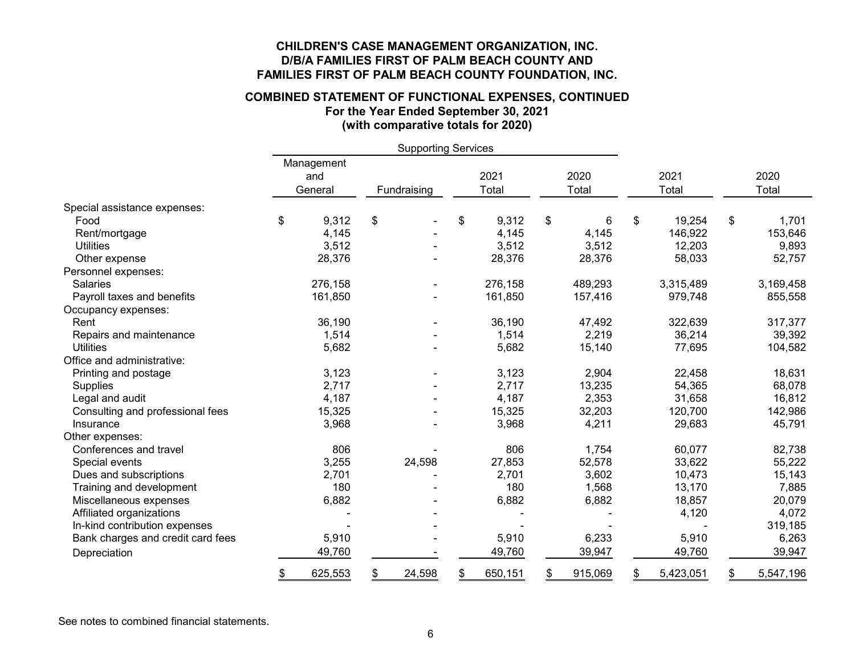## **For the Year Ended September 30, 2021 (with comparative totals for 2020) COMBINED STATEMENT OF FUNCTIONAL EXPENSES, CONTINUED**

|                                   | <b>Supporting Services</b> |                |    |                |    |         |               |                 |                 |
|-----------------------------------|----------------------------|----------------|----|----------------|----|---------|---------------|-----------------|-----------------|
|                                   |                            | Management     |    |                |    | 2021    | 2020          | 2021            | 2020            |
|                                   |                            | and<br>General |    | Fundraising    |    | Total   | Total         | Total           | Total           |
|                                   |                            |                |    |                |    |         |               |                 |                 |
| Special assistance expenses:      |                            |                |    |                |    |         |               |                 |                 |
| Food                              | \$                         | 9,312          | \$ |                | \$ | 9,312   | \$<br>6       | \$<br>19,254    | \$<br>1,701     |
| Rent/mortgage                     |                            | 4,145          |    |                |    | 4,145   | 4,145         | 146,922         | 153,646         |
| <b>Utilities</b>                  |                            | 3,512          |    |                |    | 3,512   | 3,512         | 12,203          | 9,893           |
| Other expense                     |                            | 28,376         |    |                |    | 28,376  | 28,376        | 58,033          | 52,757          |
| Personnel expenses:               |                            |                |    |                |    |         |               |                 |                 |
| <b>Salaries</b>                   |                            | 276,158        |    | $\blacksquare$ |    | 276,158 | 489,293       | 3,315,489       | 3,169,458       |
| Payroll taxes and benefits        |                            | 161,850        |    |                |    | 161,850 | 157,416       | 979,748         | 855,558         |
| Occupancy expenses:               |                            |                |    |                |    |         |               |                 |                 |
| Rent                              |                            | 36,190         |    |                |    | 36,190  | 47,492        | 322,639         | 317,377         |
| Repairs and maintenance           |                            | 1,514          |    |                |    | 1,514   | 2,219         | 36,214          | 39,392          |
| <b>Utilities</b>                  |                            | 5,682          |    |                |    | 5,682   | 15,140        | 77,695          | 104,582         |
| Office and administrative:        |                            |                |    |                |    |         |               |                 |                 |
| Printing and postage              |                            | 3,123          |    |                |    | 3,123   | 2,904         | 22,458          | 18,631          |
| Supplies                          |                            | 2,717          |    |                |    | 2,717   | 13,235        | 54,365          | 68,078          |
| Legal and audit                   |                            | 4,187          |    |                |    | 4,187   | 2,353         | 31,658          | 16,812          |
| Consulting and professional fees  |                            | 15,325         |    |                |    | 15,325  | 32,203        | 120,700         | 142,986         |
| Insurance                         |                            | 3,968          |    |                |    | 3,968   | 4,211         | 29,683          | 45,791          |
| Other expenses:                   |                            |                |    |                |    |         |               |                 |                 |
| Conferences and travel            |                            | 806            |    |                |    | 806     | 1,754         | 60,077          | 82,738          |
| Special events                    |                            | 3,255          |    | 24,598         |    | 27,853  | 52,578        | 33,622          | 55,222          |
| Dues and subscriptions            |                            | 2,701          |    |                |    | 2,701   | 3,602         | 10,473          | 15,143          |
| Training and development          |                            | 180            |    |                |    | 180     | 1,568         | 13,170          | 7,885           |
| Miscellaneous expenses            |                            | 6,882          |    |                |    | 6,882   | 6,882         | 18,857          | 20,079          |
| Affiliated organizations          |                            |                |    |                |    |         |               | 4,120           | 4,072           |
| In-kind contribution expenses     |                            |                |    |                |    |         |               |                 | 319,185         |
| Bank charges and credit card fees |                            | 5,910          |    |                |    | 5,910   | 6,233         | 5,910           | 6,263           |
| Depreciation                      |                            | 49,760         |    |                |    | 49,760  | 39,947        | 49,760          | 39,947          |
|                                   | \$                         | 625,553        | \$ | 24,598         | \$ | 650,151 | \$<br>915,069 | \$<br>5,423,051 | \$<br>5,547,196 |

See notes to combined financial statements.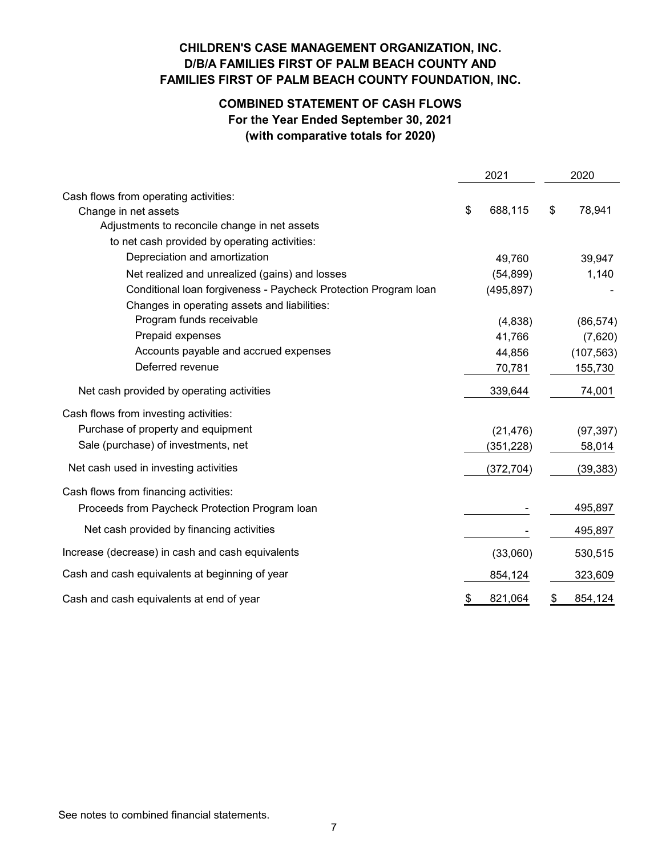## **(with comparative totals for 2020) COMBINED STATEMENT OF CASH FLOWS For the Year Ended September 30, 2021**

|                                                                 | 2021          | 2020 |            |  |
|-----------------------------------------------------------------|---------------|------|------------|--|
| Cash flows from operating activities:                           |               |      |            |  |
| Change in net assets                                            | \$<br>688,115 | \$   | 78,941     |  |
| Adjustments to reconcile change in net assets                   |               |      |            |  |
| to net cash provided by operating activities:                   |               |      |            |  |
| Depreciation and amortization                                   | 49,760        |      | 39,947     |  |
| Net realized and unrealized (gains) and losses                  | (54, 899)     |      | 1,140      |  |
| Conditional loan forgiveness - Paycheck Protection Program Ioan | (495, 897)    |      |            |  |
| Changes in operating assets and liabilities:                    |               |      |            |  |
| Program funds receivable                                        | (4,838)       |      | (86, 574)  |  |
| Prepaid expenses                                                | 41,766        |      | (7,620)    |  |
| Accounts payable and accrued expenses                           | 44,856        |      | (107, 563) |  |
| Deferred revenue                                                | 70,781        |      | 155,730    |  |
| Net cash provided by operating activities                       | 339,644       |      | 74,001     |  |
| Cash flows from investing activities:                           |               |      |            |  |
| Purchase of property and equipment                              | (21, 476)     |      | (97, 397)  |  |
| Sale (purchase) of investments, net                             | (351,228)     |      | 58,014     |  |
| Net cash used in investing activities                           | (372, 704)    |      | (39, 383)  |  |
| Cash flows from financing activities:                           |               |      |            |  |
| Proceeds from Paycheck Protection Program Ioan                  |               |      | 495,897    |  |
| Net cash provided by financing activities                       |               |      | 495,897    |  |
| Increase (decrease) in cash and cash equivalents                | (33,060)      |      | 530,515    |  |
| Cash and cash equivalents at beginning of year                  | 854,124       |      | 323,609    |  |
| Cash and cash equivalents at end of year                        | \$<br>821,064 | \$   | 854,124    |  |

See notes to combined financial statements.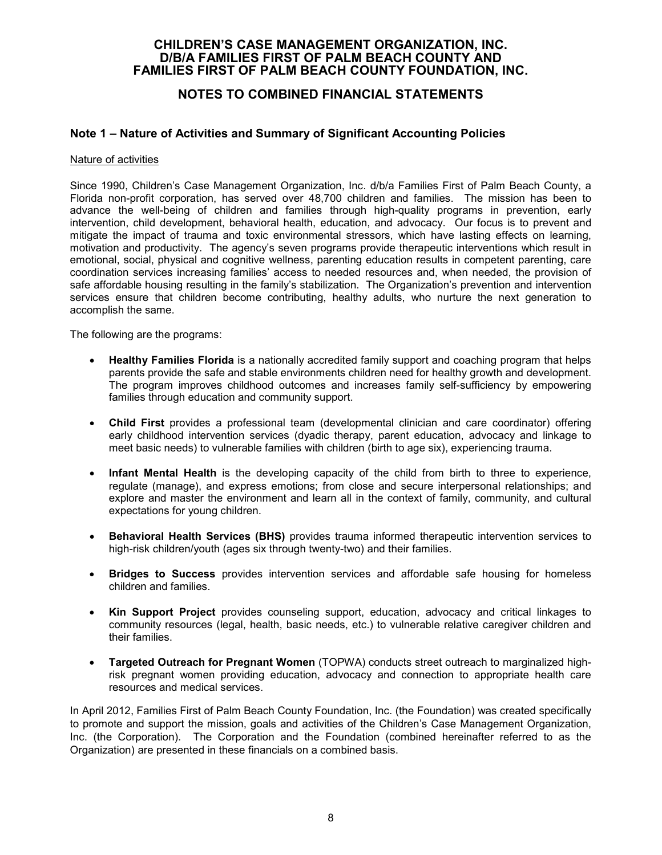## **NOTES TO COMBINED FINANCIAL STATEMENTS**

## **Note 1 – Nature of Activities and Summary of Significant Accounting Policies**

#### Nature of activities

Since 1990, Children's Case Management Organization, Inc. d/b/a Families First of Palm Beach County, a Florida non-profit corporation, has served over 48,700 children and families. The mission has been to advance the well-being of children and families through high-quality programs in prevention, early intervention, child development, behavioral health, education, and advocacy. Our focus is to prevent and mitigate the impact of trauma and toxic environmental stressors, which have lasting effects on learning, motivation and productivity. The agency's seven programs provide therapeutic interventions which result in emotional, social, physical and cognitive wellness, parenting education results in competent parenting, care coordination services increasing families' access to needed resources and, when needed, the provision of safe affordable housing resulting in the family's stabilization. The Organization's prevention and intervention services ensure that children become contributing, healthy adults, who nurture the next generation to accomplish the same.

The following are the programs:

- **Healthy Families Florida** is a nationally accredited family support and coaching program that helps parents provide the safe and stable environments children need for healthy growth and development. The program improves childhood outcomes and increases family self-sufficiency by empowering families through education and community support.
- **Child First** provides a professional team (developmental clinician and care coordinator) offering early childhood intervention services (dyadic therapy, parent education, advocacy and linkage to meet basic needs) to vulnerable families with children (birth to age six), experiencing trauma.
- **Infant Mental Health** is the developing capacity of the child from birth to three to experience, regulate (manage), and express emotions; from close and secure interpersonal relationships; and explore and master the environment and learn all in the context of family, community, and cultural expectations for young children.
- **Behavioral Health Services (BHS)** provides trauma informed therapeutic intervention services to high-risk children/youth (ages six through twenty-two) and their families.
- **Bridges to Success** provides intervention services and affordable safe housing for homeless children and families.
- **Kin Support Project** provides counseling support, education, advocacy and critical linkages to community resources (legal, health, basic needs, etc.) to vulnerable relative caregiver children and their families.
- **Targeted Outreach for Pregnant Women** (TOPWA) conducts street outreach to marginalized highrisk pregnant women providing education, advocacy and connection to appropriate health care resources and medical services.

In April 2012, Families First of Palm Beach County Foundation, Inc. (the Foundation) was created specifically to promote and support the mission, goals and activities of the Children's Case Management Organization, Inc. (the Corporation). The Corporation and the Foundation (combined hereinafter referred to as the Organization) are presented in these financials on a combined basis.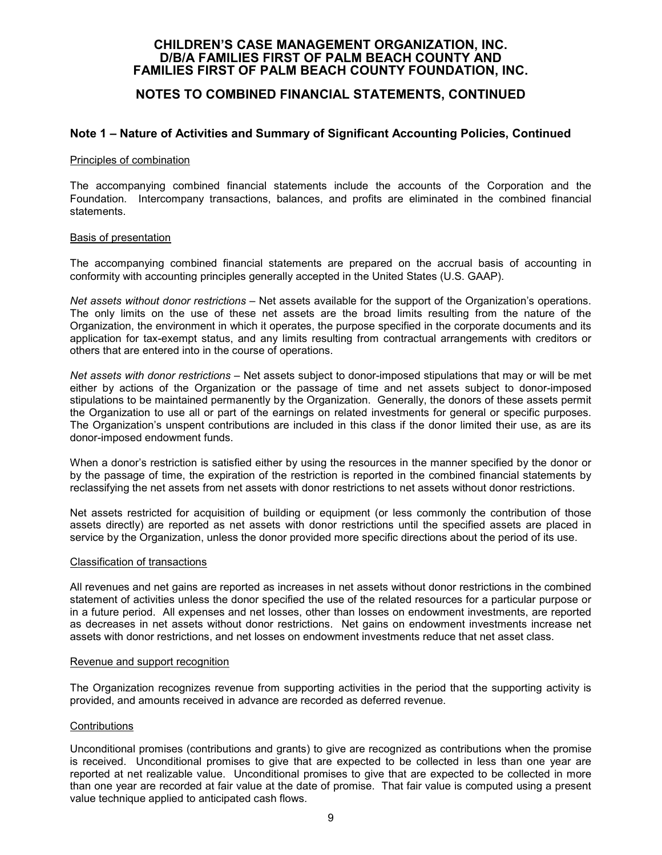## **NOTES TO COMBINED FINANCIAL STATEMENTS, CONTINUED**

#### **Note 1 – Nature of Activities and Summary of Significant Accounting Policies, Continued**

#### Principles of combination

The accompanying combined financial statements include the accounts of the Corporation and the Foundation. Intercompany transactions, balances, and profits are eliminated in the combined financial statements.

#### Basis of presentation

The accompanying combined financial statements are prepared on the accrual basis of accounting in conformity with accounting principles generally accepted in the United States (U.S. GAAP).

*Net assets without donor restrictions* – Net assets available for the support of the Organization's operations. The only limits on the use of these net assets are the broad limits resulting from the nature of the Organization, the environment in which it operates, the purpose specified in the corporate documents and its application for tax-exempt status, and any limits resulting from contractual arrangements with creditors or others that are entered into in the course of operations.

*Net assets with donor restrictions* – Net assets subject to donor-imposed stipulations that may or will be met either by actions of the Organization or the passage of time and net assets subject to donor-imposed stipulations to be maintained permanently by the Organization. Generally, the donors of these assets permit the Organization to use all or part of the earnings on related investments for general or specific purposes. The Organization's unspent contributions are included in this class if the donor limited their use, as are its donor-imposed endowment funds.

When a donor's restriction is satisfied either by using the resources in the manner specified by the donor or by the passage of time, the expiration of the restriction is reported in the combined financial statements by reclassifying the net assets from net assets with donor restrictions to net assets without donor restrictions.

Net assets restricted for acquisition of building or equipment (or less commonly the contribution of those assets directly) are reported as net assets with donor restrictions until the specified assets are placed in service by the Organization, unless the donor provided more specific directions about the period of its use.

#### Classification of transactions

All revenues and net gains are reported as increases in net assets without donor restrictions in the combined statement of activities unless the donor specified the use of the related resources for a particular purpose or in a future period. All expenses and net losses, other than losses on endowment investments, are reported as decreases in net assets without donor restrictions. Net gains on endowment investments increase net assets with donor restrictions, and net losses on endowment investments reduce that net asset class.

#### Revenue and support recognition

The Organization recognizes revenue from supporting activities in the period that the supporting activity is provided, and amounts received in advance are recorded as deferred revenue.

#### **Contributions**

Unconditional promises (contributions and grants) to give are recognized as contributions when the promise is received. Unconditional promises to give that are expected to be collected in less than one year are reported at net realizable value. Unconditional promises to give that are expected to be collected in more than one year are recorded at fair value at the date of promise. That fair value is computed using a present value technique applied to anticipated cash flows.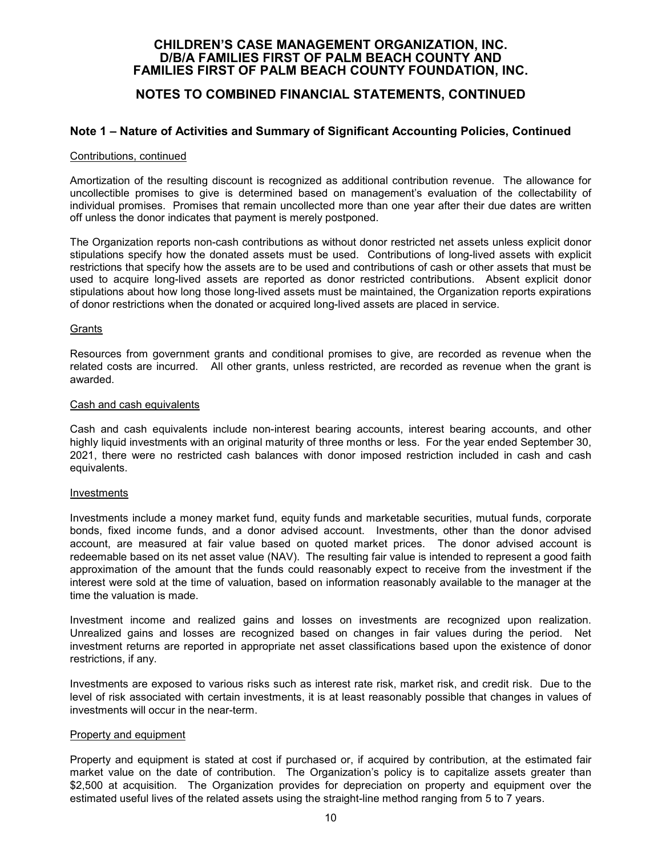## **NOTES TO COMBINED FINANCIAL STATEMENTS, CONTINUED**

### **Note 1 – Nature of Activities and Summary of Significant Accounting Policies, Continued**

#### Contributions, continued

Amortization of the resulting discount is recognized as additional contribution revenue. The allowance for uncollectible promises to give is determined based on management's evaluation of the collectability of individual promises. Promises that remain uncollected more than one year after their due dates are written off unless the donor indicates that payment is merely postponed.

The Organization reports non-cash contributions as without donor restricted net assets unless explicit donor stipulations specify how the donated assets must be used. Contributions of long-lived assets with explicit restrictions that specify how the assets are to be used and contributions of cash or other assets that must be used to acquire long-lived assets are reported as donor restricted contributions. Absent explicit donor stipulations about how long those long-lived assets must be maintained, the Organization reports expirations of donor restrictions when the donated or acquired long-lived assets are placed in service.

#### **Grants**

Resources from government grants and conditional promises to give, are recorded as revenue when the related costs are incurred. All other grants, unless restricted, are recorded as revenue when the grant is awarded.

#### Cash and cash equivalents

Cash and cash equivalents include non-interest bearing accounts, interest bearing accounts, and other highly liquid investments with an original maturity of three months or less. For the year ended September 30, 2021, there were no restricted cash balances with donor imposed restriction included in cash and cash equivalents.

#### Investments

Investments include a money market fund, equity funds and marketable securities, mutual funds, corporate bonds, fixed income funds, and a donor advised account. Investments, other than the donor advised account, are measured at fair value based on quoted market prices. The donor advised account is redeemable based on its net asset value (NAV). The resulting fair value is intended to represent a good faith approximation of the amount that the funds could reasonably expect to receive from the investment if the interest were sold at the time of valuation, based on information reasonably available to the manager at the time the valuation is made.

Investment income and realized gains and losses on investments are recognized upon realization. Unrealized gains and losses are recognized based on changes in fair values during the period. Net investment returns are reported in appropriate net asset classifications based upon the existence of donor restrictions, if any.

Investments are exposed to various risks such as interest rate risk, market risk, and credit risk. Due to the level of risk associated with certain investments, it is at least reasonably possible that changes in values of investments will occur in the near-term.

#### Property and equipment

Property and equipment is stated at cost if purchased or, if acquired by contribution, at the estimated fair market value on the date of contribution. The Organization's policy is to capitalize assets greater than \$2,500 at acquisition. The Organization provides for depreciation on property and equipment over the estimated useful lives of the related assets using the straight-line method ranging from 5 to 7 years.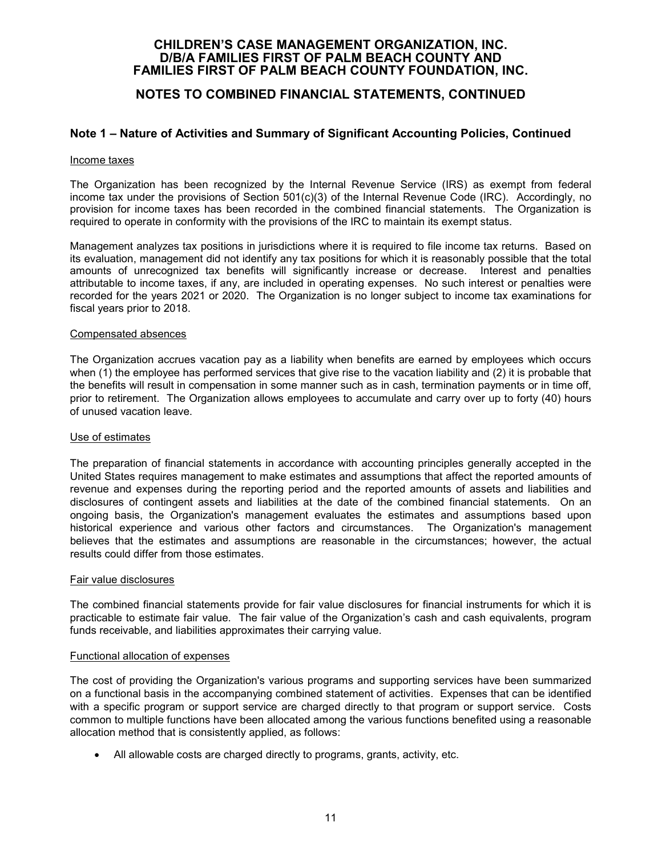## **NOTES TO COMBINED FINANCIAL STATEMENTS, CONTINUED**

### **Note 1 – Nature of Activities and Summary of Significant Accounting Policies, Continued**

#### Income taxes

The Organization has been recognized by the Internal Revenue Service (IRS) as exempt from federal income tax under the provisions of Section 501(c)(3) of the Internal Revenue Code (IRC). Accordingly, no provision for income taxes has been recorded in the combined financial statements. The Organization is required to operate in conformity with the provisions of the IRC to maintain its exempt status.

Management analyzes tax positions in jurisdictions where it is required to file income tax returns. Based on its evaluation, management did not identify any tax positions for which it is reasonably possible that the total amounts of unrecognized tax benefits will significantly increase or decrease. Interest and penalties attributable to income taxes, if any, are included in operating expenses. No such interest or penalties were recorded for the years 2021 or 2020. The Organization is no longer subject to income tax examinations for fiscal years prior to 2018.

#### Compensated absences

The Organization accrues vacation pay as a liability when benefits are earned by employees which occurs when (1) the employee has performed services that give rise to the vacation liability and (2) it is probable that the benefits will result in compensation in some manner such as in cash, termination payments or in time off, prior to retirement. The Organization allows employees to accumulate and carry over up to forty (40) hours of unused vacation leave.

#### Use of estimates

The preparation of financial statements in accordance with accounting principles generally accepted in the United States requires management to make estimates and assumptions that affect the reported amounts of revenue and expenses during the reporting period and the reported amounts of assets and liabilities and disclosures of contingent assets and liabilities at the date of the combined financial statements. On an ongoing basis, the Organization's management evaluates the estimates and assumptions based upon historical experience and various other factors and circumstances. The Organization's management believes that the estimates and assumptions are reasonable in the circumstances; however, the actual results could differ from those estimates.

#### Fair value disclosures

The combined financial statements provide for fair value disclosures for financial instruments for which it is practicable to estimate fair value. The fair value of the Organization's cash and cash equivalents, program funds receivable, and liabilities approximates their carrying value.

#### Functional allocation of expenses

The cost of providing the Organization's various programs and supporting services have been summarized on a functional basis in the accompanying combined statement of activities. Expenses that can be identified with a specific program or support service are charged directly to that program or support service. Costs common to multiple functions have been allocated among the various functions benefited using a reasonable allocation method that is consistently applied, as follows:

• All allowable costs are charged directly to programs, grants, activity, etc.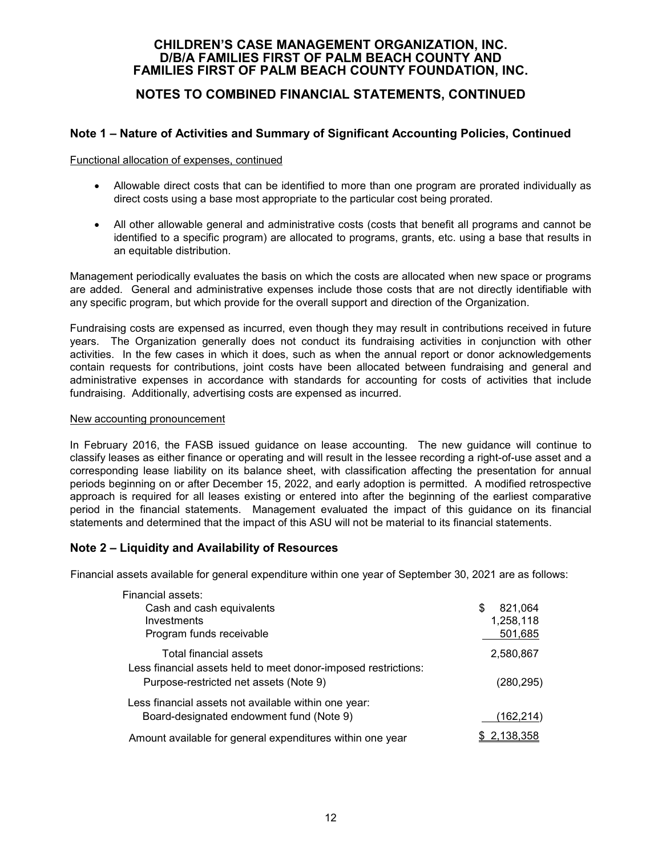## **NOTES TO COMBINED FINANCIAL STATEMENTS, CONTINUED**

## **Note 1 – Nature of Activities and Summary of Significant Accounting Policies, Continued**

#### Functional allocation of expenses, continued

- Allowable direct costs that can be identified to more than one program are prorated individually as direct costs using a base most appropriate to the particular cost being prorated.
- All other allowable general and administrative costs (costs that benefit all programs and cannot be identified to a specific program) are allocated to programs, grants, etc. using a base that results in an equitable distribution.

Management periodically evaluates the basis on which the costs are allocated when new space or programs are added. General and administrative expenses include those costs that are not directly identifiable with any specific program, but which provide for the overall support and direction of the Organization.

Fundraising costs are expensed as incurred, even though they may result in contributions received in future years. The Organization generally does not conduct its fundraising activities in conjunction with other activities. In the few cases in which it does, such as when the annual report or donor acknowledgements contain requests for contributions, joint costs have been allocated between fundraising and general and administrative expenses in accordance with standards for accounting for costs of activities that include fundraising. Additionally, advertising costs are expensed as incurred.

#### New accounting pronouncement

In February 2016, the FASB issued guidance on lease accounting. The new guidance will continue to classify leases as either finance or operating and will result in the lessee recording a right-of-use asset and a corresponding lease liability on its balance sheet, with classification affecting the presentation for annual periods beginning on or after December 15, 2022, and early adoption is permitted. A modified retrospective approach is required for all leases existing or entered into after the beginning of the earliest comparative period in the financial statements. Management evaluated the impact of this guidance on its financial statements and determined that the impact of this ASU will not be material to its financial statements.

## **Note 2 – Liquidity and Availability of Resources**

Financial assets available for general expenditure within one year of September 30, 2021 are as follows:

| Financial assets:                                                                                        |              |
|----------------------------------------------------------------------------------------------------------|--------------|
| Cash and cash equivalents                                                                                | 821,064<br>S |
| Investments                                                                                              | 1,258,118    |
| Program funds receivable                                                                                 | 501,685      |
| Total financial assets                                                                                   | 2,580,867    |
| Less financial assets held to meet donor-imposed restrictions:<br>Purpose-restricted net assets (Note 9) | (280,295)    |
| Less financial assets not available within one year:                                                     |              |
| Board-designated endowment fund (Note 9)                                                                 | (162,214)    |
| Amount available for general expenditures within one year                                                | 2.138.358    |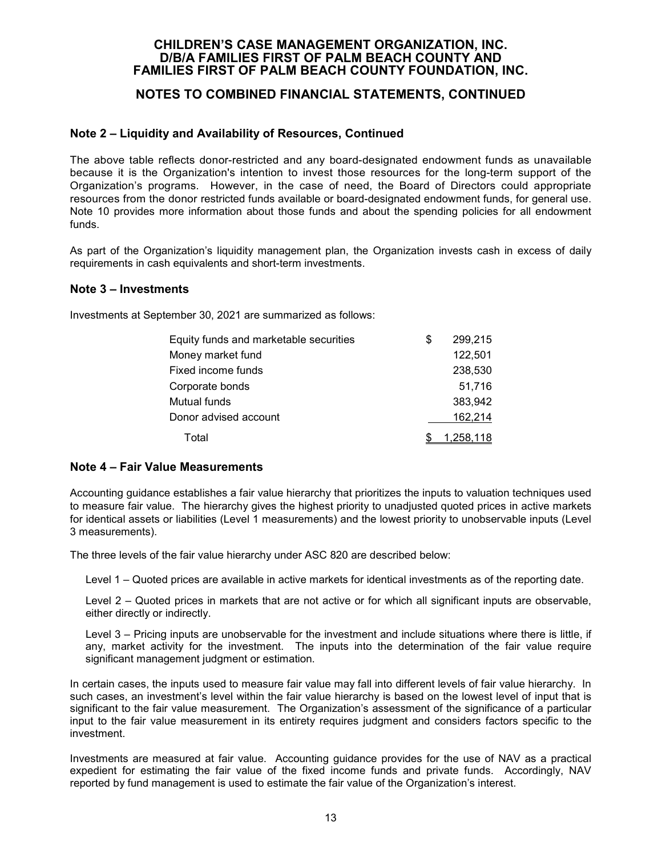## **NOTES TO COMBINED FINANCIAL STATEMENTS, CONTINUED**

### **Note 2 – Liquidity and Availability of Resources, Continued**

The above table reflects donor-restricted and any board-designated endowment funds as unavailable because it is the Organization's intention to invest those resources for the long-term support of the Organization's programs. However, in the case of need, the Board of Directors could appropriate resources from the donor restricted funds available or board-designated endowment funds, for general use. Note 10 provides more information about those funds and about the spending policies for all endowment funds.

As part of the Organization's liquidity management plan, the Organization invests cash in excess of daily requirements in cash equivalents and short-term investments.

### **Note 3 – Investments**

Investments at September 30, 2021 are summarized as follows:

| Equity funds and marketable securities | S | 299.215   |
|----------------------------------------|---|-----------|
| Money market fund                      |   | 122,501   |
| Fixed income funds                     |   | 238,530   |
| Corporate bonds                        |   | 51,716    |
| Mutual funds                           |   | 383,942   |
| Donor advised account                  |   | 162,214   |
| Total                                  |   | 1.258.118 |

### **Note 4 – Fair Value Measurements**

Accounting guidance establishes a fair value hierarchy that prioritizes the inputs to valuation techniques used to measure fair value. The hierarchy gives the highest priority to unadjusted quoted prices in active markets for identical assets or liabilities (Level 1 measurements) and the lowest priority to unobservable inputs (Level 3 measurements).

The three levels of the fair value hierarchy under ASC 820 are described below:

Level 1 – Quoted prices are available in active markets for identical investments as of the reporting date.

Level 2 – Quoted prices in markets that are not active or for which all significant inputs are observable, either directly or indirectly.

Level 3 – Pricing inputs are unobservable for the investment and include situations where there is little, if any, market activity for the investment. The inputs into the determination of the fair value require significant management judgment or estimation.

In certain cases, the inputs used to measure fair value may fall into different levels of fair value hierarchy. In such cases, an investment's level within the fair value hierarchy is based on the lowest level of input that is significant to the fair value measurement. The Organization's assessment of the significance of a particular input to the fair value measurement in its entirety requires judgment and considers factors specific to the investment.

Investments are measured at fair value. Accounting guidance provides for the use of NAV as a practical expedient for estimating the fair value of the fixed income funds and private funds. Accordingly, NAV reported by fund management is used to estimate the fair value of the Organization's interest.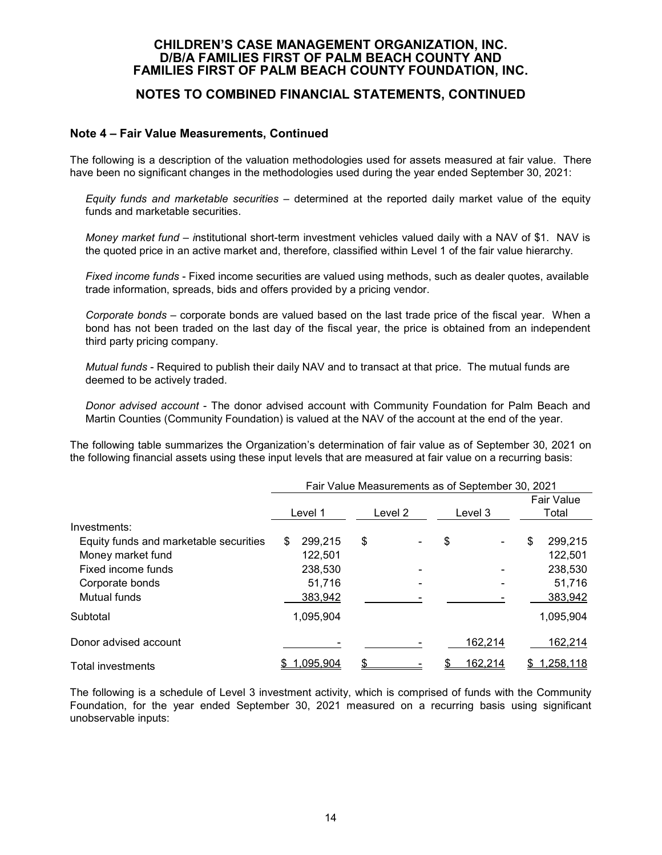## **NOTES TO COMBINED FINANCIAL STATEMENTS, CONTINUED**

### **Note 4 – Fair Value Measurements, Continued**

The following is a description of the valuation methodologies used for assets measured at fair value. There have been no significant changes in the methodologies used during the year ended September 30, 2021:

*Equity funds and marketable securities* – determined at the reported daily market value of the equity funds and marketable securities.

*Money market fund – i*nstitutional short-term investment vehicles valued daily with a NAV of \$1. NAV is the quoted price in an active market and, therefore, classified within Level 1 of the fair value hierarchy.

*Fixed income funds* - Fixed income securities are valued using methods, such as dealer quotes, available trade information, spreads, bids and offers provided by a pricing vendor.

*Corporate bonds* – corporate bonds are valued based on the last trade price of the fiscal year. When a bond has not been traded on the last day of the fiscal year, the price is obtained from an independent third party pricing company.

*Mutual funds* - Required to publish their daily NAV and to transact at that price. The mutual funds are deemed to be actively traded.

*Donor advised account* - The donor advised account with Community Foundation for Palm Beach and Martin Counties (Community Foundation) is valued at the NAV of the account at the end of the year.

The following table summarizes the Organization's determination of fair value as of September 30, 2021 on the following financial assets using these input levels that are measured at fair value on a recurring basis:

|                                        | Fair Value Measurements as of September 30, 2021 |         |         |                 |  |  |
|----------------------------------------|--------------------------------------------------|---------|---------|-----------------|--|--|
|                                        |                                                  |         |         | Fair Value      |  |  |
|                                        | Level 1                                          | Level 2 | Level 3 | Total           |  |  |
| Investments:                           |                                                  |         |         |                 |  |  |
| Equity funds and marketable securities | 299,215<br>\$.                                   | \$      | \$      | \$<br>299,215   |  |  |
| Money market fund                      | 122,501                                          |         |         | 122,501         |  |  |
| Fixed income funds                     | 238,530                                          |         |         | 238,530         |  |  |
| Corporate bonds                        | 51,716                                           |         |         | 51,716          |  |  |
| Mutual funds                           | 383,942                                          |         |         | 383,942         |  |  |
| Subtotal                               | 1,095,904                                        |         |         | 1,095,904       |  |  |
| Donor advised account                  |                                                  |         | 162,214 | 162,214         |  |  |
| Total investments                      | 1.095.904                                        |         | 162,214 | <u>.258,118</u> |  |  |

The following is a schedule of Level 3 investment activity, which is comprised of funds with the Community Foundation, for the year ended September 30, 2021 measured on a recurring basis using significant unobservable inputs: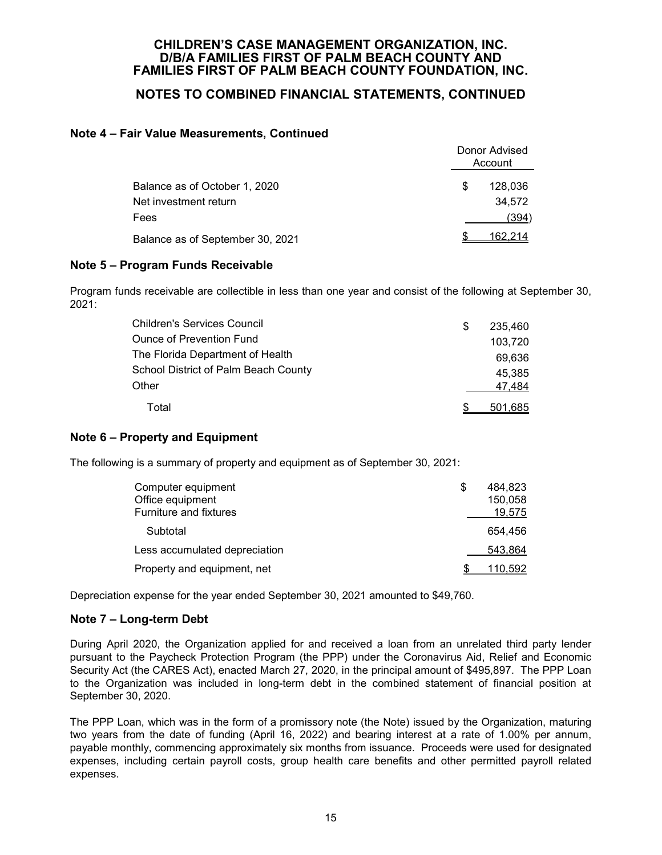## **NOTES TO COMBINED FINANCIAL STATEMENTS, CONTINUED**

Donor Advised

### **Note 4 – Fair Value Measurements, Continued**

|                                  |   | Donor Advised<br>Account |
|----------------------------------|---|--------------------------|
| Balance as of October 1, 2020    | S | 128,036                  |
| Net investment return            |   | 34.572                   |
| Fees                             |   | (394)                    |
| Balance as of September 30, 2021 |   | 162,214                  |

## **Note 5 – Program Funds Receivable**

Program funds receivable are collectible in less than one year and consist of the following at September 30, 2021:

| Children's Services Council          | \$. | 235.460 |
|--------------------------------------|-----|---------|
| Ounce of Prevention Fund             |     | 103.720 |
| The Florida Department of Health     |     | 69.636  |
| School District of Palm Beach County |     | 45.385  |
| Other                                |     | 47.484  |
| Total                                |     | 501,685 |

## **Note 6 – Property and Equipment**

The following is a summary of property and equipment as of September 30, 2021:

| Computer equipment            | 484.823<br>\$ |
|-------------------------------|---------------|
| Office equipment              | 150.058       |
| Furniture and fixtures        | 19,575        |
| Subtotal                      | 654.456       |
| Less accumulated depreciation | 543,864       |
| Property and equipment, net   | 110.592       |

Depreciation expense for the year ended September 30, 2021 amounted to \$49,760.

## **Note 7 – Long-term Debt**

During April 2020, the Organization applied for and received a loan from an unrelated third party lender pursuant to the Paycheck Protection Program (the PPP) under the Coronavirus Aid, Relief and Economic Security Act (the CARES Act), enacted March 27, 2020, in the principal amount of \$495,897. The PPP Loan to the Organization was included in long-term debt in the combined statement of financial position at September 30, 2020.

The PPP Loan, which was in the form of a promissory note (the Note) issued by the Organization, maturing two years from the date of funding (April 16, 2022) and bearing interest at a rate of 1.00% per annum, payable monthly, commencing approximately six months from issuance. Proceeds were used for designated expenses, including certain payroll costs, group health care benefits and other permitted payroll related expenses.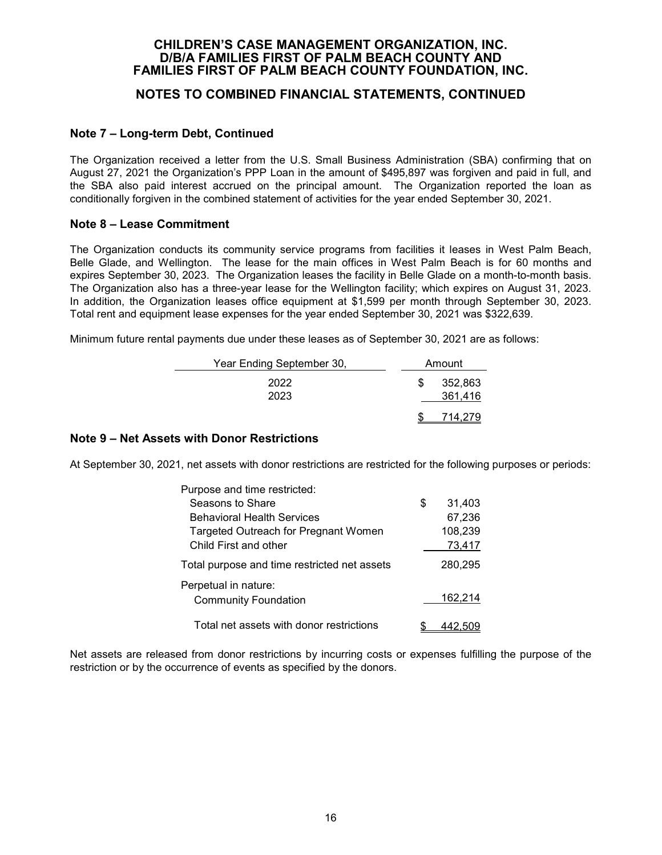## **NOTES TO COMBINED FINANCIAL STATEMENTS, CONTINUED**

### **Note 7 – Long-term Debt, Continued**

The Organization received a letter from the U.S. Small Business Administration (SBA) confirming that on August 27, 2021 the Organization's PPP Loan in the amount of \$495,897 was forgiven and paid in full, and the SBA also paid interest accrued on the principal amount. The Organization reported the loan as conditionally forgiven in the combined statement of activities for the year ended September 30, 2021.

### **Note 8 – Lease Commitment**

The Organization conducts its community service programs from facilities it leases in West Palm Beach, Belle Glade, and Wellington. The lease for the main offices in West Palm Beach is for 60 months and expires September 30, 2023. The Organization leases the facility in Belle Glade on a month-to-month basis. The Organization also has a three-year lease for the Wellington facility; which expires on August 31, 2023. In addition, the Organization leases office equipment at \$1,599 per month through September 30, 2023. Total rent and equipment lease expenses for the year ended September 30, 2021 was \$322,639.

Minimum future rental payments due under these leases as of September 30, 2021 are as follows:

| Year Ending September 30, | Amount |                    |  |
|---------------------------|--------|--------------------|--|
| 2022<br>2023              |        | 352,863<br>361,416 |  |
|                           |        | /14.279            |  |

### **Note 9 – Net Assets with Donor Restrictions**

At September 30, 2021, net assets with donor restrictions are restricted for the following purposes or periods:

| Purpose and time restricted:                 |   |         |
|----------------------------------------------|---|---------|
| Seasons to Share                             | S | 31,403  |
| <b>Behavioral Health Services</b>            |   | 67,236  |
| Targeted Outreach for Pregnant Women         |   | 108,239 |
| Child First and other                        |   | 73,417  |
| Total purpose and time restricted net assets |   | 280,295 |
| Perpetual in nature:                         |   |         |
| <b>Community Foundation</b>                  |   | 162,214 |
| Total net assets with donor restrictions     |   | 442.509 |

Net assets are released from donor restrictions by incurring costs or expenses fulfilling the purpose of the restriction or by the occurrence of events as specified by the donors.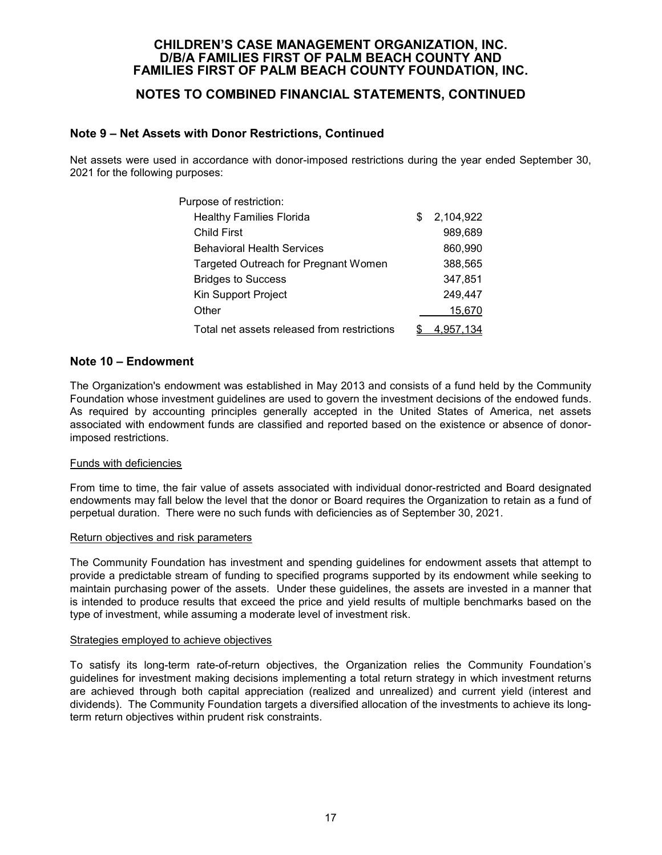## **NOTES TO COMBINED FINANCIAL STATEMENTS, CONTINUED**

### **Note 9 – Net Assets with Donor Restrictions, Continued**

Net assets were used in accordance with donor-imposed restrictions during the year ended September 30, 2021 for the following purposes:

| Purpose of restriction:                     |   |           |
|---------------------------------------------|---|-----------|
| <b>Healthy Families Florida</b>             | S | 2,104,922 |
| <b>Child First</b>                          |   | 989,689   |
| <b>Behavioral Health Services</b>           |   | 860,990   |
| <b>Targeted Outreach for Pregnant Women</b> |   | 388,565   |
| <b>Bridges to Success</b>                   |   | 347,851   |
| Kin Support Project                         |   | 249,447   |
| Other                                       |   | 15,670    |
| Total net assets released from restrictions |   | 4.957.134 |

### **Note 10 – Endowment**

The Organization's endowment was established in May 2013 and consists of a fund held by the Community Foundation whose investment guidelines are used to govern the investment decisions of the endowed funds. As required by accounting principles generally accepted in the United States of America, net assets associated with endowment funds are classified and reported based on the existence or absence of donorimposed restrictions.

#### Funds with deficiencies

From time to time, the fair value of assets associated with individual donor-restricted and Board designated endowments may fall below the level that the donor or Board requires the Organization to retain as a fund of perpetual duration. There were no such funds with deficiencies as of September 30, 2021.

#### Return objectives and risk parameters

The Community Foundation has investment and spending guidelines for endowment assets that attempt to provide a predictable stream of funding to specified programs supported by its endowment while seeking to maintain purchasing power of the assets. Under these guidelines, the assets are invested in a manner that is intended to produce results that exceed the price and yield results of multiple benchmarks based on the type of investment, while assuming a moderate level of investment risk.

#### Strategies employed to achieve objectives

To satisfy its long-term rate-of-return objectives, the Organization relies the Community Foundation's guidelines for investment making decisions implementing a total return strategy in which investment returns are achieved through both capital appreciation (realized and unrealized) and current yield (interest and dividends). The Community Foundation targets a diversified allocation of the investments to achieve its longterm return objectives within prudent risk constraints.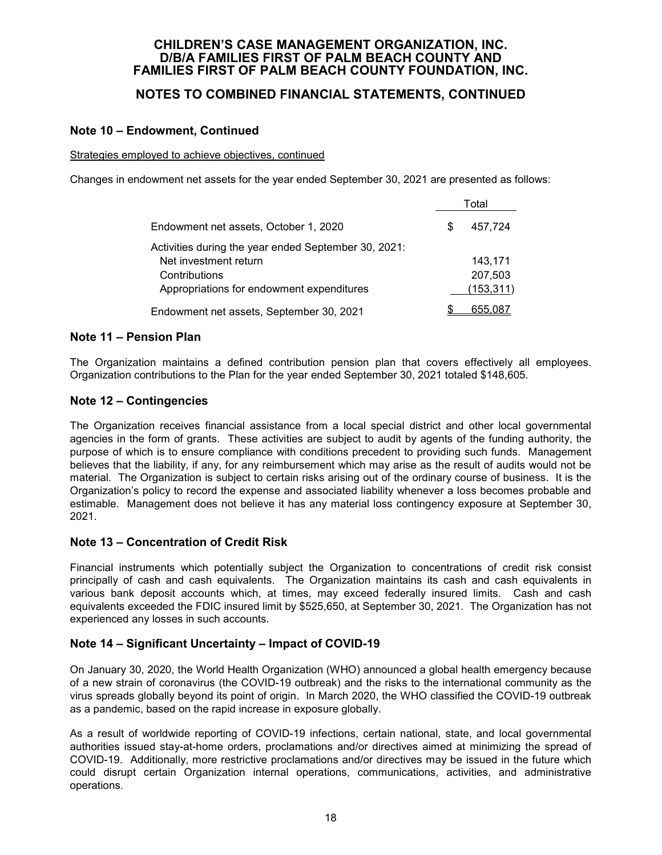## **NOTES TO COMBINED FINANCIAL STATEMENTS, CONTINUED**

## **Note 10 – Endowment, Continued**

Strategies employed to achieve objectives, continued

Changes in endowment net assets for the year ended September 30, 2021 are presented as follows:

|                                                                               | Total |            |  |  |  |
|-------------------------------------------------------------------------------|-------|------------|--|--|--|
| Endowment net assets, October 1, 2020                                         | S     | 457.724    |  |  |  |
| Activities during the year ended September 30, 2021:<br>Net investment return |       | 143.171    |  |  |  |
| Contributions                                                                 |       | 207,503    |  |  |  |
| Appropriations for endowment expenditures                                     |       | (153, 311) |  |  |  |
| Endowment net assets, September 30, 2021                                      |       | 655.087    |  |  |  |

### **Note 11 – Pension Plan**

The Organization maintains a defined contribution pension plan that covers effectively all employees. Organization contributions to the Plan for the year ended September 30, 2021 totaled \$148,605.

## **Note 12 – Contingencies**

The Organization receives financial assistance from a local special district and other local governmental agencies in the form of grants. These activities are subject to audit by agents of the funding authority, the purpose of which is to ensure compliance with conditions precedent to providing such funds. Management believes that the liability, if any, for any reimbursement which may arise as the result of audits would not be material. The Organization is subject to certain risks arising out of the ordinary course of business. It is the Organization's policy to record the expense and associated liability whenever a loss becomes probable and estimable. Management does not believe it has any material loss contingency exposure at September 30, 2021.

### **Note 13 – Concentration of Credit Risk**

Financial instruments which potentially subject the Organization to concentrations of credit risk consist principally of cash and cash equivalents. The Organization maintains its cash and cash equivalents in various bank deposit accounts which, at times, may exceed federally insured limits. Cash and cash equivalents exceeded the FDIC insured limit by \$525,650, at September 30, 2021. The Organization has not experienced any losses in such accounts.

## **Note 14 – Significant Uncertainty – Impact of COVID-19**

On January 30, 2020, the World Health Organization (WHO) announced a global health emergency because of a new strain of coronavirus (the COVID-19 outbreak) and the risks to the international community as the virus spreads globally beyond its point of origin. In March 2020, the WHO classified the COVID-19 outbreak as a pandemic, based on the rapid increase in exposure globally.

As a result of worldwide reporting of COVID-19 infections, certain national, state, and local governmental authorities issued stay-at-home orders, proclamations and/or directives aimed at minimizing the spread of COVID-19. Additionally, more restrictive proclamations and/or directives may be issued in the future which could disrupt certain Organization internal operations, communications, activities, and administrative operations.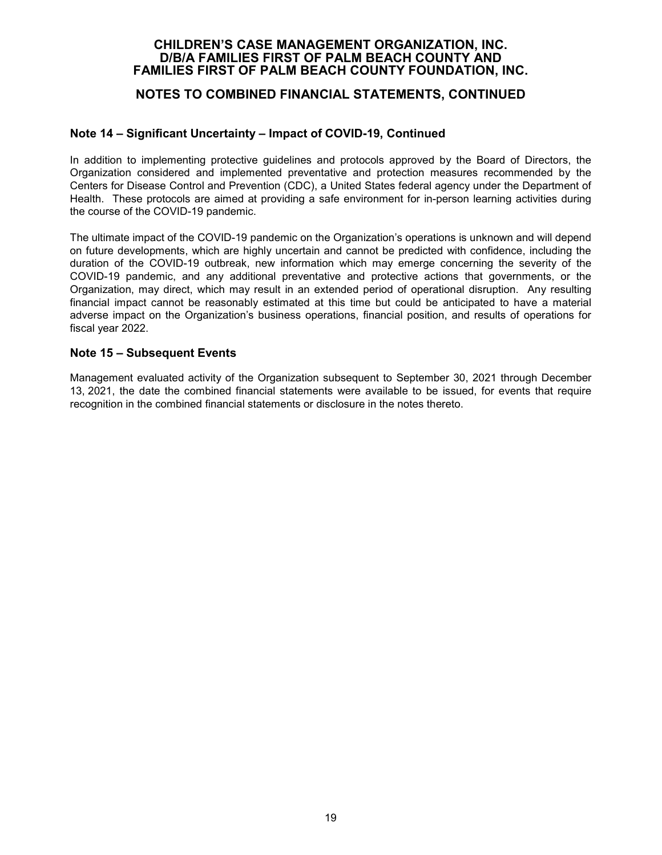## **NOTES TO COMBINED FINANCIAL STATEMENTS, CONTINUED**

### **Note 14 – Significant Uncertainty – Impact of COVID-19, Continued**

In addition to implementing protective guidelines and protocols approved by the Board of Directors, the Organization considered and implemented preventative and protection measures recommended by the Centers for Disease Control and Prevention (CDC), a United States federal agency under the Department of Health. These protocols are aimed at providing a safe environment for in-person learning activities during the course of the COVID-19 pandemic.

The ultimate impact of the COVID-19 pandemic on the Organization's operations is unknown and will depend on future developments, which are highly uncertain and cannot be predicted with confidence, including the duration of the COVID-19 outbreak, new information which may emerge concerning the severity of the COVID-19 pandemic, and any additional preventative and protective actions that governments, or the Organization, may direct, which may result in an extended period of operational disruption. Any resulting financial impact cannot be reasonably estimated at this time but could be anticipated to have a material adverse impact on the Organization's business operations, financial position, and results of operations for fiscal year 2022.

### **Note 15 – Subsequent Events**

Management evaluated activity of the Organization subsequent to September 30, 2021 through December 13, 2021, the date the combined financial statements were available to be issued, for events that require recognition in the combined financial statements or disclosure in the notes thereto.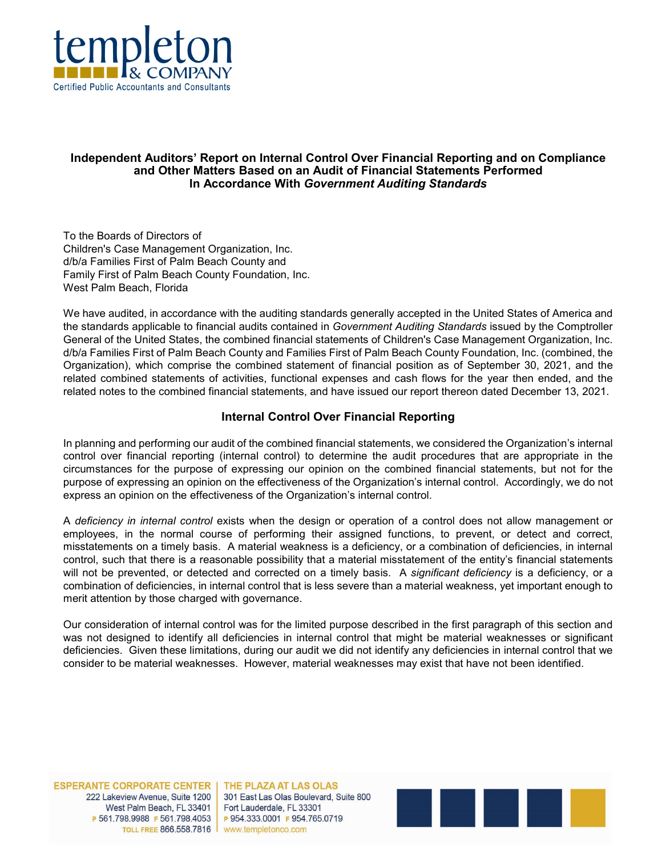

### **Independent Auditors' Report on Internal Control Over Financial Reporting and on Compliance and Other Matters Based on an Audit of Financial Statements Performed In Accordance With** *Government Auditing Standards*

To the Boards of Directors of Children's Case Management Organization, Inc. d/b/a Families First of Palm Beach County and Family First of Palm Beach County Foundation, Inc. West Palm Beach, Florida

We have audited, in accordance with the auditing standards generally accepted in the United States of America and the standards applicable to financial audits contained in *Government Auditing Standards* issued by the Comptroller General of the United States, the combined financial statements of Children's Case Management Organization, Inc. d/b/a Families First of Palm Beach County and Families First of Palm Beach County Foundation, Inc. (combined, the Organization), which comprise the combined statement of financial position as of September 30, 2021, and the related combined statements of activities, functional expenses and cash flows for the year then ended, and the related notes to the combined financial statements, and have issued our report thereon dated December 13, 2021.

## **Internal Control Over Financial Reporting**

In planning and performing our audit of the combined financial statements, we considered the Organization's internal control over financial reporting (internal control) to determine the audit procedures that are appropriate in the circumstances for the purpose of expressing our opinion on the combined financial statements, but not for the purpose of expressing an opinion on the effectiveness of the Organization's internal control. Accordingly, we do not express an opinion on the effectiveness of the Organization's internal control.

A *deficiency in internal control* exists when the design or operation of a control does not allow management or employees, in the normal course of performing their assigned functions, to prevent, or detect and correct, misstatements on a timely basis. A material weakness is a deficiency, or a combination of deficiencies, in internal control, such that there is a reasonable possibility that a material misstatement of the entity's financial statements will not be prevented, or detected and corrected on a timely basis. A *significant deficiency* is a deficiency, or a combination of deficiencies, in internal control that is less severe than a material weakness, yet important enough to merit attention by those charged with governance.

Our consideration of internal control was for the limited purpose described in the first paragraph of this section and was not designed to identify all deficiencies in internal control that might be material weaknesses or significant deficiencies. Given these limitations, during our audit we did not identify any deficiencies in internal control that we consider to be material weaknesses. However, material weaknesses may exist that have not been identified.

**ESPERANTE CORPORATE CENTER | THE PLAZA AT LAS OLAS** West Palm Beach, FL 33401 | Fort Lauderdale, FL 33301 P 561.798.9988 F 561.798.4053 P 954.333.0001 F 954.765.0719 TOLL FREE 866.558.7816 | www.templetonco.com

222 Lakeview Avenue, Suite 1200 301 East Las Olas Boulevard, Suite 800

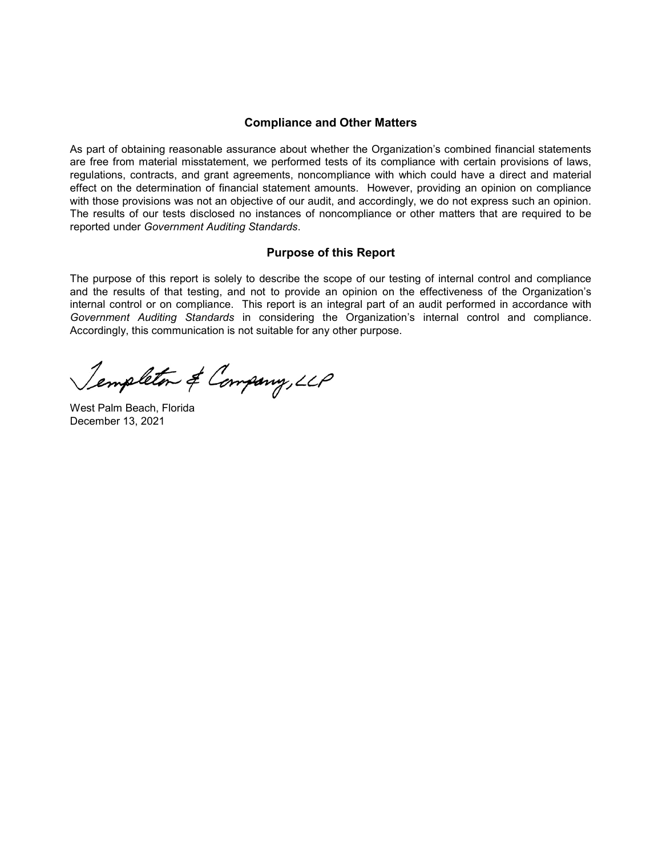#### **Compliance and Other Matters**

As part of obtaining reasonable assurance about whether the Organization's combined financial statements are free from material misstatement, we performed tests of its compliance with certain provisions of laws, regulations, contracts, and grant agreements, noncompliance with which could have a direct and material effect on the determination of financial statement amounts. However, providing an opinion on compliance with those provisions was not an objective of our audit, and accordingly, we do not express such an opinion. The results of our tests disclosed no instances of noncompliance or other matters that are required to be reported under *Government Auditing Standards*.

#### **Purpose of this Report**

The purpose of this report is solely to describe the scope of our testing of internal control and compliance and the results of that testing, and not to provide an opinion on the effectiveness of the Organization's internal control or on compliance. This report is an integral part of an audit performed in accordance with *Government Auditing Standards* in considering the Organization's internal control and compliance. Accordingly, this communication is not suitable for any other purpose.

Sempleton & Company, LLP

West Palm Beach, Florida December 13, 2021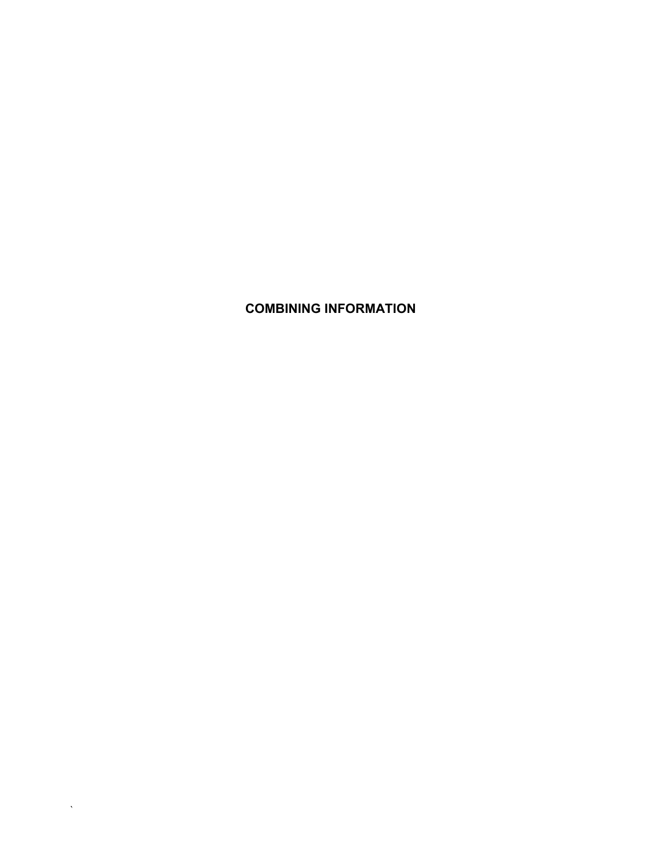# **COMBINING INFORMATION**

 $\hat{\mathcal{N}}$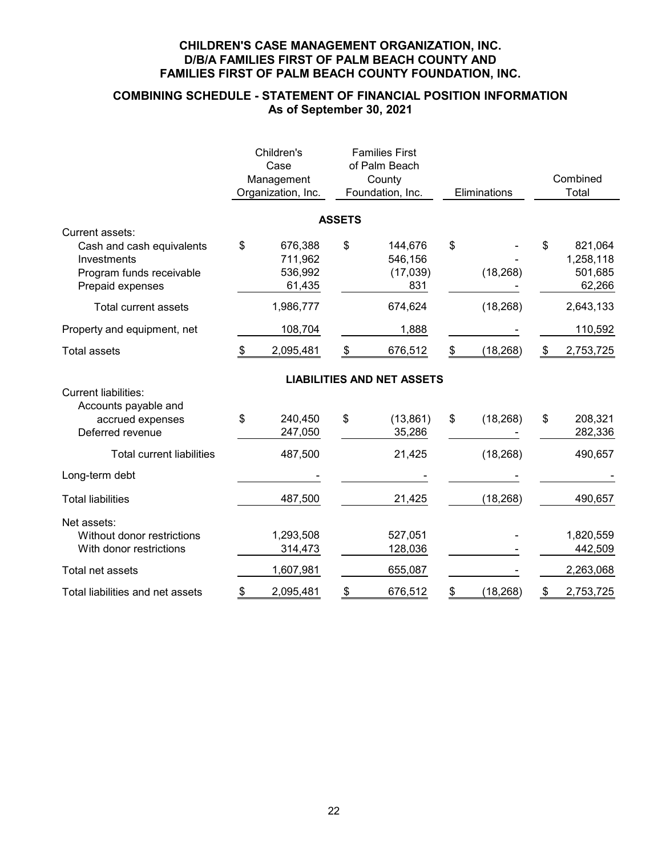## **COMBINING SCHEDULE - STATEMENT OF FINANCIAL POSITION INFORMATION As of September 30, 2021**

|                                                                                                             | Children's<br>Case<br>Management<br>Organization, Inc. |               | <b>Families First</b><br>of Palm Beach<br>County<br>Foundation, Inc. | Eliminations |           | Combined<br>Total                               |
|-------------------------------------------------------------------------------------------------------------|--------------------------------------------------------|---------------|----------------------------------------------------------------------|--------------|-----------|-------------------------------------------------|
|                                                                                                             |                                                        | <b>ASSETS</b> |                                                                      |              |           |                                                 |
| Current assets:<br>Cash and cash equivalents<br>Investments<br>Program funds receivable<br>Prepaid expenses | \$<br>676,388<br>711,962<br>536,992<br>61,435          | \$            | 144,676<br>546,156<br>(17,039)<br>831                                | \$           | (18, 268) | \$<br>821,064<br>1,258,118<br>501,685<br>62,266 |
| <b>Total current assets</b>                                                                                 | 1,986,777                                              |               | 674,624                                                              |              | (18, 268) | 2,643,133                                       |
| Property and equipment, net                                                                                 | 108,704                                                |               | 1,888                                                                |              |           | 110,592                                         |
| Total assets                                                                                                | \$<br>2,095,481                                        | \$            | 676,512                                                              | \$           | (18, 268) | \$<br>2,753,725                                 |
| <b>Current liabilities:</b><br>Accounts payable and<br>accrued expenses<br>Deferred revenue                 | \$<br>240,450<br>247,050                               | \$            | <b>LIABILITIES AND NET ASSETS</b><br>(13, 861)<br>35,286             | \$           | (18, 268) | \$<br>208,321<br>282,336                        |
| <b>Total current liabilities</b>                                                                            | 487,500                                                |               | 21,425                                                               |              | (18, 268) | 490,657                                         |
| Long-term debt                                                                                              |                                                        |               |                                                                      |              |           |                                                 |
| <b>Total liabilities</b>                                                                                    | 487,500                                                |               | 21,425                                                               |              | (18, 268) | 490,657                                         |
| Net assets:<br>Without donor restrictions<br>With donor restrictions                                        | 1,293,508<br>314,473                                   |               | 527,051<br>128,036                                                   |              |           | 1,820,559<br>442,509                            |
| Total net assets                                                                                            | 1,607,981                                              |               | 655,087                                                              |              |           | 2,263,068                                       |
| Total liabilities and net assets                                                                            | \$<br>2,095,481                                        | \$            | 676,512                                                              | \$           | (18, 268) | \$<br>2,753,725                                 |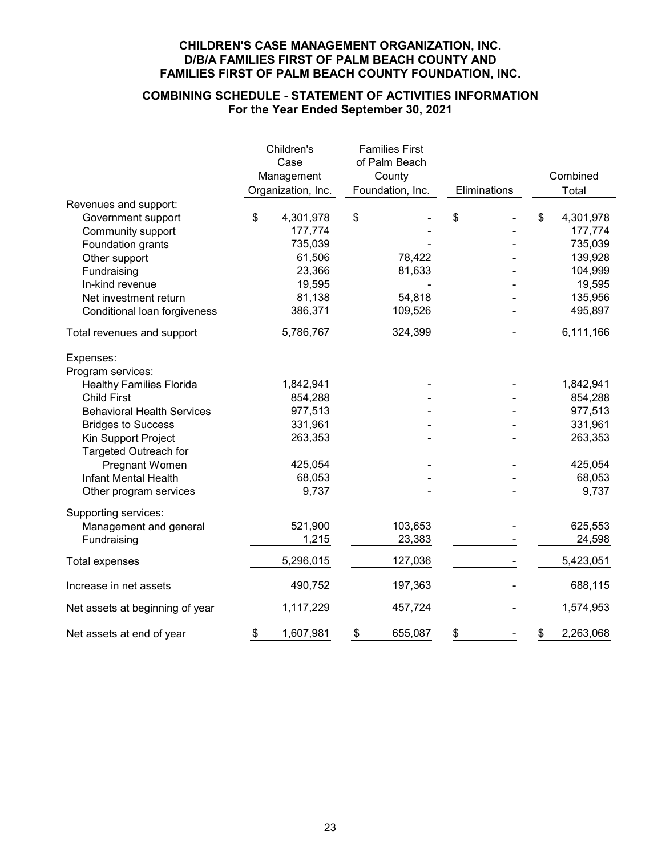## **COMBINING SCHEDULE - STATEMENT OF ACTIVITIES INFORMATION For the Year Ended September 30, 2021**

|                                   | Children's<br>Case<br>Management |                    | <b>Families First</b><br>of Palm Beach<br>County |                  |              |  | Combined        |
|-----------------------------------|----------------------------------|--------------------|--------------------------------------------------|------------------|--------------|--|-----------------|
|                                   |                                  | Organization, Inc. |                                                  | Foundation, Inc. | Eliminations |  | Total           |
| Revenues and support:             |                                  |                    |                                                  |                  |              |  |                 |
| Government support                | \$                               | 4,301,978          | \$                                               |                  | \$           |  | \$<br>4,301,978 |
| Community support                 |                                  | 177,774            |                                                  |                  |              |  | 177,774         |
| Foundation grants                 |                                  | 735,039            |                                                  |                  |              |  | 735,039         |
| Other support                     |                                  | 61,506             |                                                  | 78,422           |              |  | 139,928         |
| Fundraising                       |                                  | 23,366             |                                                  | 81,633           |              |  | 104,999         |
| In-kind revenue                   |                                  | 19,595             |                                                  |                  |              |  | 19,595          |
| Net investment return             |                                  | 81,138             |                                                  | 54,818           |              |  | 135,956         |
| Conditional loan forgiveness      |                                  | 386,371            |                                                  | 109,526          |              |  | 495,897         |
| Total revenues and support        |                                  | 5,786,767          |                                                  | 324,399          |              |  | 6,111,166       |
| Expenses:                         |                                  |                    |                                                  |                  |              |  |                 |
| Program services:                 |                                  |                    |                                                  |                  |              |  |                 |
| <b>Healthy Families Florida</b>   |                                  | 1,842,941          |                                                  |                  |              |  | 1,842,941       |
| <b>Child First</b>                |                                  | 854,288            |                                                  |                  |              |  | 854,288         |
| <b>Behavioral Health Services</b> |                                  | 977,513            |                                                  |                  |              |  | 977,513         |
| <b>Bridges to Success</b>         |                                  | 331,961            |                                                  |                  |              |  | 331,961         |
| Kin Support Project               |                                  | 263,353            |                                                  |                  |              |  | 263,353         |
| <b>Targeted Outreach for</b>      |                                  |                    |                                                  |                  |              |  |                 |
| Pregnant Women                    |                                  | 425,054            |                                                  |                  |              |  | 425,054         |
| <b>Infant Mental Health</b>       |                                  | 68,053             |                                                  |                  |              |  | 68,053          |
| Other program services            |                                  | 9,737              |                                                  |                  |              |  | 9,737           |
| Supporting services:              |                                  |                    |                                                  |                  |              |  |                 |
| Management and general            |                                  | 521,900            |                                                  | 103,653          |              |  | 625,553         |
| Fundraising                       |                                  | 1,215              |                                                  | 23,383           |              |  | 24,598          |
| <b>Total expenses</b>             |                                  | 5,296,015          |                                                  | 127,036          |              |  | 5,423,051       |
| Increase in net assets            |                                  | 490,752            |                                                  | 197,363          |              |  | 688,115         |
| Net assets at beginning of year   |                                  | 1,117,229          |                                                  | 457,724          |              |  | 1,574,953       |
| Net assets at end of year         | \$                               | 1,607,981          | \$                                               | 655,087          | \$           |  | \$<br>2,263,068 |